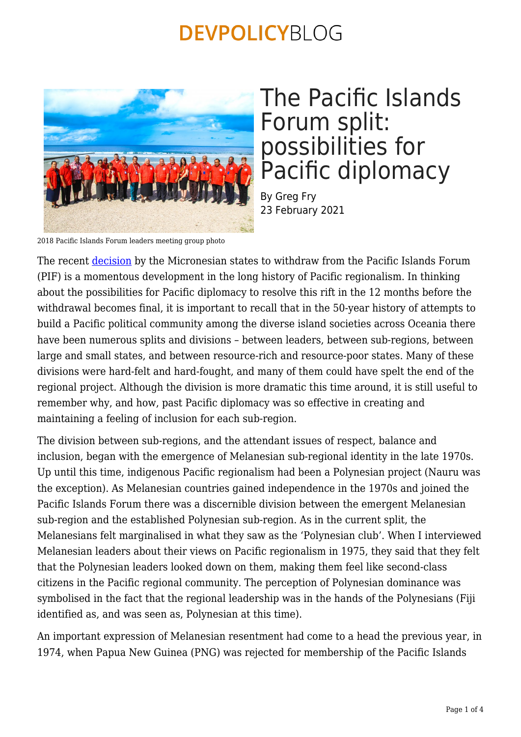

# The Pacific Islands Forum split: possibilities for Pacific diplomacy

By Greg Fry 23 February 2021

2018 Pacific Islands Forum leaders meeting group photo

The recent [decision](https://devpolicy.org/pacific-regionalism-forever-changed-20200210-2/micronesian-presidents-february-2021-communique_1-2/) by the Micronesian states to withdraw from the Pacific Islands Forum (PIF) is a momentous development in the long history of Pacific regionalism. In thinking about the possibilities for Pacific diplomacy to resolve this rift in the 12 months before the withdrawal becomes final, it is important to recall that in the 50-year history of attempts to build a Pacific political community among the diverse island societies across Oceania there have been numerous splits and divisions – between leaders, between sub-regions, between large and small states, and between resource-rich and resource-poor states. Many of these divisions were hard-felt and hard-fought, and many of them could have spelt the end of the regional project. Although the division is more dramatic this time around, it is still useful to remember why, and how, past Pacific diplomacy was so effective in creating and maintaining a feeling of inclusion for each sub-region.

The division between sub-regions, and the attendant issues of respect, balance and inclusion, began with the emergence of Melanesian sub-regional identity in the late 1970s. Up until this time, indigenous Pacific regionalism had been a Polynesian project (Nauru was the exception). As Melanesian countries gained independence in the 1970s and joined the Pacific Islands Forum there was a discernible division between the emergent Melanesian sub-region and the established Polynesian sub-region. As in the current split, the Melanesians felt marginalised in what they saw as the 'Polynesian club'. When I interviewed Melanesian leaders about their views on Pacific regionalism in 1975, they said that they felt that the Polynesian leaders looked down on them, making them feel like second-class citizens in the Pacific regional community. The perception of Polynesian dominance was symbolised in the fact that the regional leadership was in the hands of the Polynesians (Fiji identified as, and was seen as, Polynesian at this time).

An important expression of Melanesian resentment had come to a head the previous year, in 1974, when Papua New Guinea (PNG) was rejected for membership of the Pacific Islands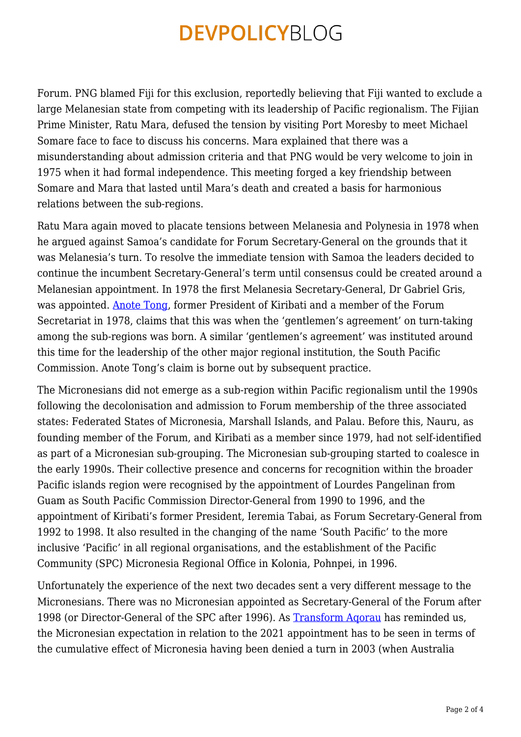Forum. PNG blamed Fiji for this exclusion, reportedly believing that Fiji wanted to exclude a large Melanesian state from competing with its leadership of Pacific regionalism. The Fijian Prime Minister, Ratu Mara, defused the tension by visiting Port Moresby to meet Michael Somare face to face to discuss his concerns. Mara explained that there was a misunderstanding about admission criteria and that PNG would be very welcome to join in 1975 when it had formal independence. This meeting forged a key friendship between Somare and Mara that lasted until Mara's death and created a basis for harmonious relations between the sub-regions.

Ratu Mara again moved to placate tensions between Melanesia and Polynesia in 1978 when he argued against Samoa's candidate for Forum Secretary-General on the grounds that it was Melanesia's turn. To resolve the immediate tension with Samoa the leaders decided to continue the incumbent Secretary-General's term until consensus could be created around a Melanesian appointment. In 1978 the first Melanesia Secretary-General, Dr Gabriel Gris, was appointed. [Anote Tong,](https://www.islandsbusiness.com/past-news-break-articles/item/3124-it-s-micronesia-s-turn-to-head-the-forum-tong.html) former President of Kiribati and a member of the Forum Secretariat in 1978, claims that this was when the 'gentlemen's agreement' on turn-taking among the sub-regions was born. A similar 'gentlemen's agreement' was instituted around this time for the leadership of the other major regional institution, the South Pacific Commission. Anote Tong's claim is borne out by subsequent practice.

The Micronesians did not emerge as a sub-region within Pacific regionalism until the 1990s following the decolonisation and admission to Forum membership of the three associated states: Federated States of Micronesia, Marshall Islands, and Palau. Before this, Nauru, as founding member of the Forum, and Kiribati as a member since 1979, had not self-identified as part of a Micronesian sub-grouping. The Micronesian sub-grouping started to coalesce in the early 1990s. Their collective presence and concerns for recognition within the broader Pacific islands region were recognised by the appointment of Lourdes Pangelinan from Guam as South Pacific Commission Director-General from 1990 to 1996, and the appointment of Kiribati's former President, Ieremia Tabai, as Forum Secretary-General from 1992 to 1998. It also resulted in the changing of the name 'South Pacific' to the more inclusive 'Pacific' in all regional organisations, and the establishment of the Pacific Community (SPC) Micronesia Regional Office in Kolonia, Pohnpei, in 1996.

Unfortunately the experience of the next two decades sent a very different message to the Micronesians. There was no Micronesian appointed as Secretary-General of the Forum after 1998 (or Director-General of the SPC after 1996). As [Transform Aqorau](https://devpolicy.org/pacific-regionalism-forever-changed-20200210-2/) has reminded us, the Micronesian expectation in relation to the 2021 appointment has to be seen in terms of the cumulative effect of Micronesia having been denied a turn in 2003 (when Australia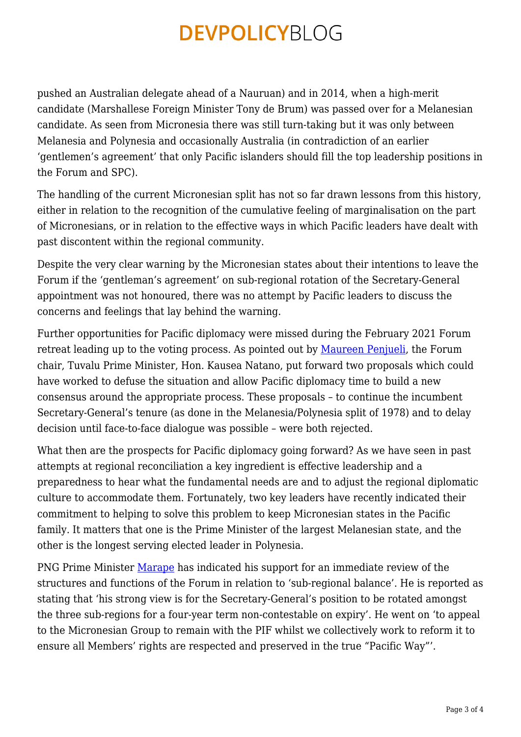pushed an Australian delegate ahead of a Nauruan) and in 2014, when a high-merit candidate (Marshallese Foreign Minister Tony de Brum) was passed over for a Melanesian candidate. As seen from Micronesia there was still turn-taking but it was only between Melanesia and Polynesia and occasionally Australia (in contradiction of an earlier 'gentlemen's agreement' that only Pacific islanders should fill the top leadership positions in the Forum and SPC).

The handling of the current Micronesian split has not so far drawn lessons from this history, either in relation to the recognition of the cumulative feeling of marginalisation on the part of Micronesians, or in relation to the effective ways in which Pacific leaders have dealt with past discontent within the regional community.

Despite the very clear warning by the Micronesian states about their intentions to leave the Forum if the 'gentleman's agreement' on sub-regional rotation of the Secretary-General appointment was not honoured, there was no attempt by Pacific leaders to discuss the concerns and feelings that lay behind the warning.

Further opportunities for Pacific diplomacy were missed during the February 2021 Forum retreat leading up to the voting process. As pointed out by [Maureen Penjueli,](http://www.pina.com.fj/index.php?p=pacnews&m=read&o=727166276602493ac9e50379e1d1c5) the Forum chair, Tuvalu Prime Minister, Hon. Kausea Natano, put forward two proposals which could have worked to defuse the situation and allow Pacific diplomacy time to build a new consensus around the appropriate process. These proposals – to continue the incumbent Secretary-General's tenure (as done in the Melanesia/Polynesia split of 1978) and to delay decision until face-to-face dialogue was possible – were both rejected.

What then are the prospects for Pacific diplomacy going forward? As we have seen in past attempts at regional reconciliation a key ingredient is effective leadership and a preparedness to hear what the fundamental needs are and to adjust the regional diplomatic culture to accommodate them. Fortunately, two key leaders have recently indicated their commitment to helping to solve this problem to keep Micronesian states in the Pacific family. It matters that one is the Prime Minister of the largest Melanesian state, and the other is the longest serving elected leader in Polynesia.

PNG Prime Minister [Marape](https://www.rnz.co.nz/international/pacific-news/436549/png-backs-micronesia-in-forum-row) has indicated his support for an immediate review of the structures and functions of the Forum in relation to 'sub-regional balance'. He is reported as stating that 'his strong view is for the Secretary-General's position to be rotated amongst the three sub-regions for a four-year term non-contestable on expiry'. He went on 'to appeal to the Micronesian Group to remain with the PIF whilst we collectively work to reform it to ensure all Members' rights are respected and preserved in the true "Pacific Way"'.